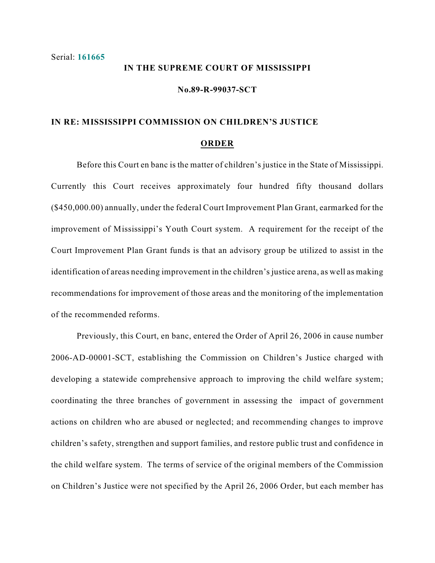## **IN THE SUPREME COURT OF MISSISSIPPI**

**No.89-R-99037-SCT**

## **IN RE: MISSISSIPPI COMMISSION ON CHILDREN'S JUSTICE**

## **ORDER**

Before this Court en banc is the matter of children's justice in the State of Mississippi. Currently this Court receives approximately four hundred fifty thousand dollars (\$450,000.00) annually, under the federal Court Improvement Plan Grant, earmarked for the improvement of Mississippi's Youth Court system. A requirement for the receipt of the Court Improvement Plan Grant funds is that an advisory group be utilized to assist in the identification of areas needing improvement in the children's justice arena, as well as making recommendations for improvement of those areas and the monitoring of the implementation of the recommended reforms.

Previously, this Court, en banc, entered the Order of April 26, 2006 in cause number 2006-AD-00001-SCT, establishing the Commission on Children's Justice charged with developing a statewide comprehensive approach to improving the child welfare system; coordinating the three branches of government in assessing the impact of government actions on children who are abused or neglected; and recommending changes to improve children's safety, strengthen and support families, and restore public trust and confidence in the child welfare system. The terms of service of the original members of the Commission on Children's Justice were not specified by the April 26, 2006 Order, but each member has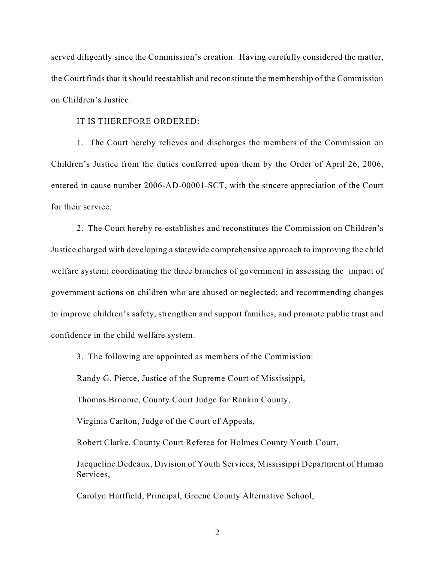served diligently since the Commission's creation. Having carefully considered the matter, the Court finds that it should reestablish and reconstitute the membership of the Commission on Children's Justice.

## IT IS THEREFORE ORDERED:

1. The Court hereby relieves and discharges the members of the Commission on Children's Justice from the duties conferred upon them by the Order of April 26, 2006, entered in cause number 2006-AD-00001-SCT, with the sincere appreciation of the Court for their service.

2. The Court hereby re-establishes and reconstitutes the Commission on Children's Justice charged with developing a statewide comprehensive approach to improving the child welfare system; coordinating the three branches of government in assessing the impact of government actions on children who are abused or neglected; and recommending changes to improve children's safety, strengthen and support families, and promote public trust and confidence in the child welfare system.

3. The following are appointed as members of the Commission:

Randy G. Pierce, Justice of the Supreme Court of Mississippi,

Thomas Broome, County Court Judge for Rankin County,

Virginia Carlton, Judge of the Court of Appeals,

Robert Clarke, County Court Referee for Holmes County Youth Court,

Jacqueline Dedeaux, Division of Youth Services, Mississippi Department of Human Services,

Carolyn Hartfield, Principal, Greene County Alternative School,

2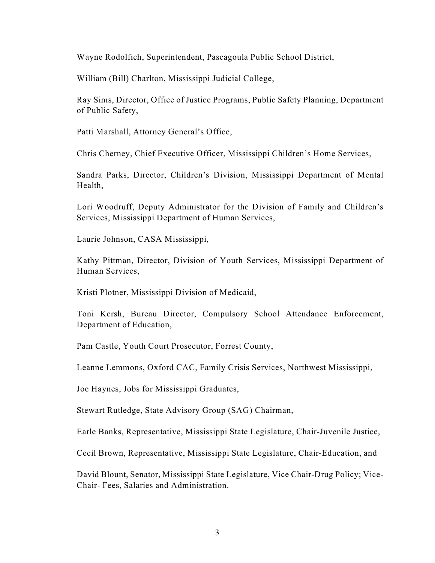Wayne Rodolfich, Superintendent, Pascagoula Public School District,

William (Bill) Charlton, Mississippi Judicial College,

Ray Sims, Director, Office of Justice Programs, Public Safety Planning, Department of Public Safety,

Patti Marshall, Attorney General's Office,

Chris Cherney, Chief Executive Officer, Mississippi Children's Home Services,

Sandra Parks, Director, Children's Division, Mississippi Department of Mental Health,

Lori Woodruff, Deputy Administrator for the Division of Family and Children's Services, Mississippi Department of Human Services,

Laurie Johnson, CASA Mississippi,

Kathy Pittman, Director, Division of Youth Services, Mississippi Department of Human Services,

Kristi Plotner, Mississippi Division of Medicaid,

Toni Kersh, Bureau Director, Compulsory School Attendance Enforcement, Department of Education,

Pam Castle, Youth Court Prosecutor, Forrest County,

Leanne Lemmons, Oxford CAC, Family Crisis Services, Northwest Mississippi,

Joe Haynes, Jobs for Mississippi Graduates,

Stewart Rutledge, State Advisory Group (SAG) Chairman,

Earle Banks, Representative, Mississippi State Legislature, Chair-Juvenile Justice,

Cecil Brown, Representative, Mississippi State Legislature, Chair-Education, and

David Blount, Senator, Mississippi State Legislature, Vice Chair-Drug Policy; Vice-Chair- Fees, Salaries and Administration.